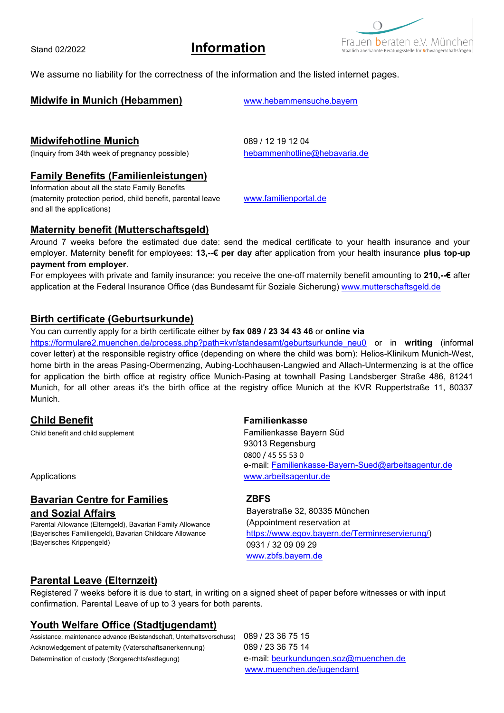Stand 02/2022 **Information**

 $\bigcap$ Frauen **b**eraten e.V. Müncher

We assume no liability for the correctness of the information and the listed internet pages.

## **Midwife in Munich (Hebammen)** [www.hebammensuche.bayern](http://www.hebammensuche.bayern/)

# **Midwifehotline Munich** 089 / 12 19 12 04

(Inquiry from 34th week of pregnancy possible) [hebammenhotline@hebavaria.de](mailto:hebammenhotline@hebavaria.de)

## **Family Benefits (Familienleistungen)**

Information about all the state Family Benefits (maternity protection period, child benefit, parental leave [www.familienportal.de](http://www.familienportal.de/) and all the applications)

### **Maternity benefit (Mutterschaftsgeld)**

Around 7 weeks before the estimated due date: send the medical certificate to your health insurance and your employer. Maternity benefit for employees: **13,--€ per day** after application from your health insurance **plus top-up payment from employer**.

For employees with private and family insurance: you receive the one-off maternity benefit amounting to **210,--€** after application at the Federal Insurance Office (das Bundesamt für Soziale Sicherung) [www.mutterschaftsgeld.de](http://www.mutterschaftsgeld.de/)

### **Birth certificate (Geburtsurkunde)**

### You can currently apply for a birth certificate either by **fax 089 / 23 34 43 46** or **online via**

[https://formulare2.muenchen.de/process.php?path=kvr/standesamt/geburtsurkunde\\_neu0](https://formulare2.muenchen.de/process.php?path=kvr/standesamt/geburtsurkunde_neu0) or in **writing** (informal cover letter) at the responsible registry office (depending on where the child was born): Helios-Klinikum Munich-West, home birth in the areas Pasing-Obermenzing, Aubing-Lochhausen-Langwied and Allach-Untermenzing is at the office for application the birth office at registry office Munich-Pasing at townhall Pasing Landsberger Straße 486, 81241 Munich, for all other areas it's the birth office at the registry office Munich at the KVR Ruppertstraße 11, 80337 Munich.

### **Child Benefit Familienkasse**

Child benefit and child supplement **Familienkasse Bayern Süd** 

# **Bavarian Centre for Families**

### **and Sozial Affairs**

Parental Allowance (Elterngeld), Bavarian Family Allowance (Bayerisches Familiengeld), Bavarian Childcare Allowance (Bayerisches Krippengeld)

93013 Regensburg 0800 / 45 55 53 0 e-mail: [Familienkasse-Bayern-Sued@arbeitsagentur.de](mailto:Familienkasse-Bayern-Sued@arbeitsagentur.de) Applications [www.arbeitsagentur.de](http://www.arbeitsagentur.de/)

### **ZBFS**

Bayerstraße 32, 80335 München (Appointment reservation at [https://www.egov.bayern.de/Terminreservierung/\)](https://www.egov.bayern.de/Terminreservierung/) 0931 / 32 09 09 29 [www.zbfs.bayern.de](http://www.zbfs.bayern.de/)

## **Parental Leave (Elternzeit)**

Registered 7 weeks before it is due to start, in writing on a signed sheet of paper before witnesses or with input confirmation. Parental Leave of up to 3 years for both parents.

## **Youth Welfare Office (Stadtjugendamt)**

Assistance, maintenance advance (Beistandschaft, Unterhaltsvorschuss) 089 / 23 36 75 15 Acknowledgement of paternity (Vaterschaftsanerkennung) 089 / 23 36 75 14 Determination of custody (Sorgerechtsfestlegung) e-mail: b[eurkundungen.soz@muenchen.de](mailto:urkundungen.soz@muenchen.de)

[www.muenchen.de/jugendamt](http://www.muenchen.de/jugendamt)